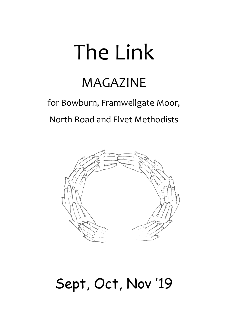# The Link

## MAGAZINE

## for Bowburn, Framwellgate Moor, North Road and Elvet Methodists



## Sept, Oct, Nov '19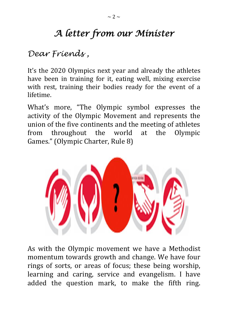## *A letter from our Minister*

## *Dear Friends ,*

It's the 2020 Olympics next year and already the athletes have been in training for it, eating well, mixing exercise with rest, training their bodies ready for the event of a lifetime.

What's more, "The Olympic symbol expresses the activity of the Olympic Movement and represents the union of the five continents and the meeting of athletes from throughout the world at the Olympic Games." (Olympic Charter, Rule 8)



As with the Olympic movement we have a Methodist momentum towards growth and change. We have four rings of sorts, or areas of focus; these being worship, learning and caring, service and evangelism. I have added the question mark, to make the fifth ring.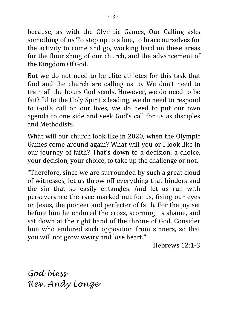because, as with the Olympic Games, Our Calling asks something of us To step up to a line, to brace ourselves for the activity to come and go, working hard on these areas for the flourishing of our church, and the advancement of the Kingdom Of God.

But we do not need to be elite athletes for this task that God and the church are calling us to. We don't need to train all the hours God sends. However, we do need to be faithful to the Holy Spirit's leading, we do need to respond to God's call on our lives, we do need to put our own agenda to one side and seek God's call for us as disciples and Methodists.

What will our church look like in 2020, when the Olympic Games come around again? What will you or I look like in our journey of faith? That's down to a decision, a choice, your decision, your choice, to take up the challenge or not.

"Therefore, since we are surrounded by such a great cloud of witnesses, let us throw off everything that hinders and the sin that so easily entangles. And let us run with perseverance the race marked out for us, fixing our eyes on Jesus, the pioneer and perfecter of faith. For the joy set before him he endured the cross, scorning its shame, and sat down at the right hand of the throne of God. Consider him who endured such opposition from sinners, so that you will not grow weary and lose heart."

Hebrews 12:1-3

*God bless Rev. Andy Longe*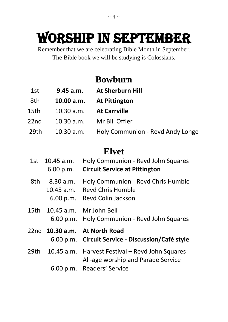## WORSHIP IN SEPTEMBER

Remember that we are celebrating Bible Month in September. The Bible book we will be studying is Colossians.

## **Bowburn**

- 1st **9.45 a.m. At Sherburn Hill**
- 8th **10.00 a.m. At Pittington**
- 15th 10.30 a.m. **At Carrville**
- 22nd 10.30 a.m. Mr Bill Offler
- 29th 10.30 a.m. Holy Communion Revd Andy Longe

## **Elvet**

|     | 1st 10.45 a.m.<br>6.00 p.m.            | Holy Communion - Revd John Squares<br><b>Circuit Service at Pittington</b>                  |
|-----|----------------------------------------|---------------------------------------------------------------------------------------------|
| 8th | 8.30 a.m.<br>$10.45$ a.m.<br>6.00 p.m. | Holy Communion - Revd Chris Humble<br><b>Revd Chris Humble</b><br><b>Revd Colin Jackson</b> |
|     |                                        | 15th 10.45 a.m. Mr John Bell<br>6.00 p.m. Holy Communion - Revd John Squares                |
|     |                                        | 22nd 10.30 a.m. At North Road<br>6.00 p.m. Circuit Service - Discussion/Café style          |
|     |                                        | 29th 10.45 a.m. Harvest Festival – Revd John Squares<br>All-age worship and Parade Service  |
|     |                                        | 6.00 p.m. Readers' Service                                                                  |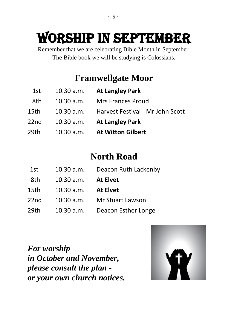## WORSHIP IN SEPTEMBER

Remember that we are celebrating Bible Month in September. The Bible book we will be studying is Colossians.

## **Framwellgate Moor**

- 1st 10.30 a.m. **At Langley Park**
- 8th 10.30 a.m. Mrs Frances Proud
- 15th 10.30 a.m. Harvest Festival Mr John Scott
- 22nd10.30 a.m. **At Langley Park**
- 29th10.30 a.m. **At Witton Gilbert**

## **North Road**

| 1st  | 10.30 a.m. | Deacon Ruth Lackenby    |
|------|------------|-------------------------|
| 8th  | 10.30 a.m. | <b>At Elvet</b>         |
| 15th | 10.30 a.m. | <b>At Elvet</b>         |
| 22nd | 10.30 a.m. | <b>Mr Stuart Lawson</b> |
| 29th | 10.30 a.m. | Deacon Esther Longe     |

*For worship in October and November, please consult the plan or your own church notices.*

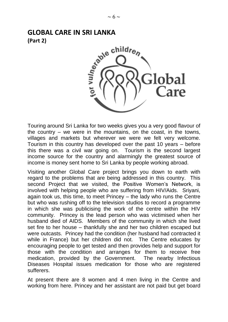## **(Part 2)**



Touring around Sri Lanka for two weeks gives you a very good flavour of the country – we were in the mountains, on the coast, in the towns, villages and markets but wherever we were we felt very welcome. Tourism in this country has developed over the past 10 years – before this there was a civil war going on. Tourism is the second largest income source for the country and alarmingly the greatest source of income is money sent home to Sri Lanka by people working abroad.

Visiting another Global Care project brings you down to earth with regard to the problems that are being addressed in this country. This second Project that we visited, the Positive Women's Network, is involved with helping people who are suffering from HIV/Aids. Sriyani, again took us, this time, to meet Princey – the lady who runs the Centre but who was rushing off to the television studios to record a programme in which she was publicising the work of the centre within the HIV community. Princey is the lead person who was victimised when her husband died of AIDS. Members of the community in which she lived set fire to her house – thankfully she and her two children escaped but were outcasts. Princey had the condition (her husband had contracted it while in France) but her children did not. The Centre educates by encouraging people to get tested and then provides help and support for those with the condition and arranges for them to receive free medication, provided by the Government. The nearby Infectious Diseases Hospital issues medication for those who are registered sufferers.

At present there are 8 women and 4 men living in the Centre and working from here. Princey and her assistant are not paid but get board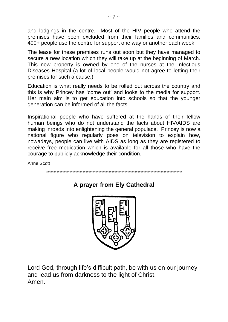and lodgings in the centre. Most of the HIV people who attend the premises have been excluded from their families and communities. 400+ people use the centre for support one way or another each week.

The lease for these premises runs out soon but they have managed to secure a new location which they will take up at the beginning of March. This new property is owned by one of the nurses at the Infectious Diseases Hospital (a lot of local people would not agree to letting their premises for such a cause.)

Education is what really needs to be rolled out across the country and this is why Princey has 'come out' and looks to the media for support. Her main aim is to get education into schools so that the younger generation can be informed of all the facts.

Inspirational people who have suffered at the hands of their fellow human beings who do not understand the facts about HIV/AIDS are making inroads into enlightening the general populace. Princey is now a national figure who regularly goes on television to explain how, nowadays, people can live with AIDS as long as they are registered to receive free medication which is available for all those who have the courage to publicly acknowledge their condition.

Anne Scott



Lord God, through life's difficult path, be with us on our journey and lead us from darkness to the light of Christ. Amen.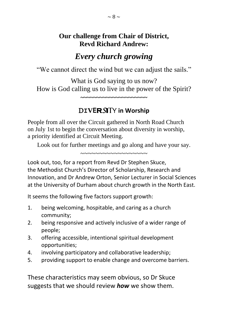#### **Our challenge from Chair of District, Revd Richard Andrew:**

### *Every church growing*

"We cannot direct the wind but we can adjust the sails."

What is God saying to us now? How is God calling us to live in the power of the Spirit?

**~~~~~~~~~~~~~~~~~~~~~**

#### D**IVER***S*ITY **in Worship**

People from all over the Circuit gathered in North Road Church on July 1st to begin the conversation about diversity in worship, a priority identified at Circuit Meeting.

Look out for further meetings and go along and have your say. ~~~~~~~~~~~~~~~~~~

Look out, too, for a report from Revd Dr Stephen Skuce, the Methodist Church's Director of Scholarship, Research and Innovation, and Dr Andrew Orton, Senior Lecturer in Social Sciences at the University of Durham about church growth in the North East.

It seems the following five factors support growth:

- 1. being welcoming, hospitable, and caring as a church community;
- 2. being responsive and actively inclusive of a wider range of people;
- 3. offering accessible, intentional spiritual development opportunities;
- 4. involving participatory and collaborative leadership;
- 5. providing support to enable change and overcome barriers.

These characteristics may seem obvious, so Dr Skuce suggests that we should review *how* we show them.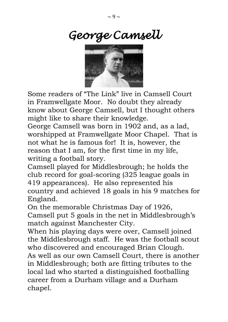

Some readers of "The Link" live in Camsell Court in Framwellgate Moor. No doubt they already know about George Camsell, but I thought others might like to share their knowledge.

George Camsell was born in 1902 and, as a lad, worshipped at Framwellgate Moor Chapel. That is not what he is famous for! It is, however, the reason that I am, for the first time in my life, writing a football story.

Camsell played for Middlesbrough; he holds the club record for goal-scoring (325 league goals in 419 appearances). He also represented his country and achieved 18 goals in his 9 matches for England.

On the memorable Christmas Day of 1926, Camsell put 5 goals in the net in Middlesbrough's match against Manchester City.

When his playing days were over, Camsell joined the Middlesbrough staff. He was the football scout who discovered and encouraged Brian Clough. As well as our own Camsell Court, there is another in Middlesbrough; both are fitting tributes to the local lad who started a distinguished footballing career from a Durham village and a Durham chapel.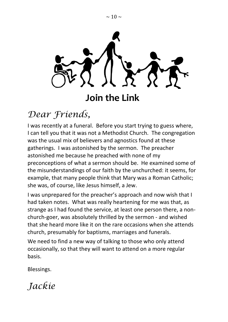

**Join the Link**

## *Dear Friends,*

I was recently at a funeral. Before you start trying to guess where, I can tell you that it was not a Methodist Church. The congregation was the usual mix of believers and agnostics found at these gatherings. I was astonished by the sermon. The preacher astonished me because he preached with none of my preconceptions of what a sermon should be. He examined some of the misunderstandings of our faith by the unchurched: it seems, for example, that many people think that Mary was a Roman Catholic; she was, of course, like Jesus himself, a Jew.

I was unprepared for the preacher's approach and now wish that I had taken notes. What was really heartening for me was that, as strange as I had found the service, at least one person there, a nonchurch-goer, was absolutely thrilled by the sermon - and wished that she heard more like it on the rare occasions when she attends church, presumably for baptisms, marriages and funerals.

We need to find a new way of talking to those who only attend occasionally, so that they will want to attend on a more regular basis.

Blessings.

*Jackie*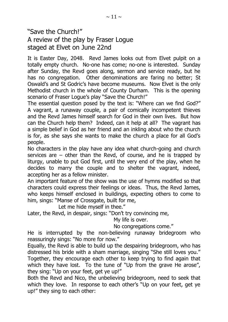#### "Save the Church!" A review of the play by Fraser Logue staged at Elvet on June 22nd

It is Easter Day, 2048. Revd James looks out from Elvet pulpit on a totally empty church. No-one has come; no-one is interested. Sunday after Sunday, the Revd goes along, sermon and service ready, but he has no congregation. Other denominations are faring no better; St Oswald's and St Godric's have become museums. Now Elvet is the only Methodist church in the whole of County Durham. This is the opening scenario of Fraser Logue's play "Save the Church!"

The essential question posed by the text is: "Where can we find God?" A vagrant, a runaway couple, a pair of comically incompetent thieves and the Revd James himself search for God in their own lives. But how can the Church help them? Indeed, can it help at all? The vagrant has a simple belief in God as her friend and an inkling about who the church is for, as she says she wants to make the church a place for all God's people.

No characters in the play have any idea what church-going and church services are – other than the Revd, of course, and he is trapped by liturgy, unable to put God first, until the very end of the play, when he decides to marry the couple and to shelter the vagrant, indeed, accepting her as a fellow minister.

An important feature of the show was the use of hymns modified so that characters could express their feelings or ideas. Thus, the Revd James, who keeps himself enclosed in buildings, expecting others to come to him, sings: "Manse of Crossgate, built for me,

Let me hide myself in thee."

Later, the Revd, in despair, sings: "Don't try convincing me,

My life is over.

No congregations come."

He is interrupted by the non-believing runaway bridegroom who reassuringly sings: "No more for now."

Equally, the Revd is able to build up the despairing bridegroom, who has distressed his bride with a sham marriage, singing "She still loves you." Together, they encourage each other to keep trying to find again that which they have lost. To the tune of "Up from the grave He arose", they sing: "Up on your feet, get ye up!"

Both the Revd and Nico, the unbelieving bridegroom, need to seek that which they love. In response to each other's "Up on your feet, get ye up!" they sing to each other: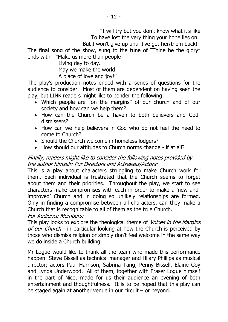"I will try but you don't know what it's like To have lost the very thing your hope lies on.

But I won't give up until I've got her/them back!"

The final song of the show, sung to the tune of "Thine be the glory" ends with - "Make us more than people

Living day to day.

May we make the world

A place of love and joy!"

The play's production notes ended with a series of questions for the audience to consider. Most of them are dependent on having seen the play, but LINK readers might like to ponder the following:

- Which people are "on the margins" of our church and of our society and how can we help them?
- How can the Church be a haven to both believers and Goddismissers?
- How can we help believers in God who do not feel the need to come to Church?
- Should the Church welcome in homeless lodgers?
- How should our attitudes to Church norms change if at all?

#### Finally, readers might like to consider the following notes provided by the author himself: For Directors and Actresses/Actors:

This is a play about characters struggling to make Church work for them. Each individual is frustrated that the Church seems to forget about them and their priorities. Throughout the play, we start to see characters make compromises with each in order to make a 'new-andimproved' Church and in doing so unlikely relationships are formed. Only in finding a compromise between all characters, can they make a Church that is recognizable to all of them as the true Church. For Audience Members:

This play looks to explore the theological theme of *Voices in the Margins* of our Church - in particular looking at how the Church is perceived by those who dismiss religion or simply don't feel welcome in the same way we do inside a Church building.

Mr Logue would like to thank all the team who made this performance happen: Steve Bissell as technical manager and Hilary Phillips as musical director; actors Paul Harrison, Sabrina Tang, Penny Bissell, Elaine Goy and Lynda Underwood. All of them, together with Fraser Logue himself in the part of Nico, made for us their audience an evening of both entertainment and thoughtfulness. It is to be hoped that this play can be staged again at another venue in our circuit – or beyond.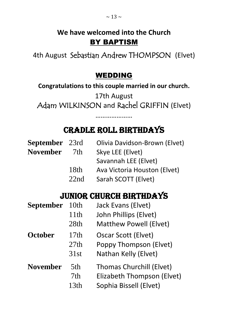## **We have welcomed into the Church** BY BAPTISM

4th August Sebastian Andrew THOMPSON (Elvet)

### WEDDING

**Congratulations to this couple married in our church.**

17th August Adam WILKINSON and Rachel GRIFFIN (Elvet)

## Cradle Roll Birthdays

…………………

| <b>September</b> 23rd |      | Olivia Davidson-Brown (Elvet) |
|-----------------------|------|-------------------------------|
| <b>November</b>       | 7th  | Skye LEE (Elvet)              |
|                       |      | Savannah LEE (Elvet)          |
|                       | 18th | Ava Victoria Houston (Elvet)  |
|                       | 22nd | Sarah SCOTT (Elvet)           |

## JUNIOR CHURCH BIRTHDAYS

| <b>September</b> | 10th             | Jack Evans (Elvet)              |
|------------------|------------------|---------------------------------|
|                  | 11th             | John Phillips (Elvet)           |
|                  | 28th             | <b>Matthew Powell (Elvet)</b>   |
| <b>October</b>   | 17th             | Oscar Scott (Elvet)             |
|                  | 27th             | Poppy Thompson (Elvet)          |
|                  | 31st             | Nathan Kelly (Elvet)            |
| <b>November</b>  | 5th              | <b>Thomas Churchill (Elvet)</b> |
|                  | 7th              | Elizabeth Thompson (Elvet)      |
|                  | 13 <sub>th</sub> | Sophia Bissell (Elvet)          |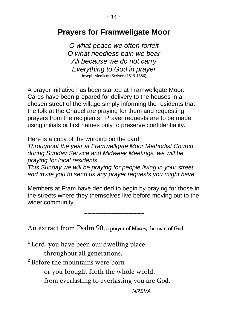## **Prayers for Framwellgate Moor**

*O what peace we often forfeit O what needless pain we bear All because we do not carry Everything to God in prayer* Joseph Medlicott Scriven (1819-1886)

A prayer initiative has been started at Framwellgate Moor. Cards have been prepared for delivery to the houses in a chosen street of the village simply informing the residents that the folk at the Chapel are praying for them and requesting prayers from the recipients. Prayer requests are to be made using initials or first names only to preserve confidentiality.

Here is a copy of the wording on the card:

*Throughout the year at Framwellgate Moor Methodist Church, during Sunday Service and Midweek Meetings, we will be praying for local residents.*

*This Sunday we will be praying for people living in your street and invite you to send us any prayer requests you might have.*

Members at Fram have decided to begin by praying for those in the streets where they themselves live before moving out to the wider community.

~~~~~~~~~~~~~~~

An extract from Psalm 90, a prayer of Moses, the man of God

**<sup>1</sup>** Lord, you have been our dwelling place throughout all generations.

**<sup>2</sup>** Before the mountains were born

or you brought forth the whole world,

from everlasting to everlasting you are God.

*NRSVA*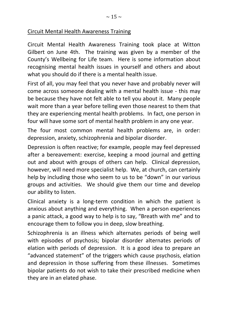#### Circuit Mental Health Awareness Training

Circuit Mental Health Awareness Training took place at Witton Gilbert on June 4th. The training was given by a member of the County's Wellbeing for Life team. Here is some information about recognising mental health issues in yourself and others and about what you should do if there is a mental health issue.

First of all, you may feel that you never have and probably never will come across someone dealing with a mental health issue - this may be because they have not felt able to tell you about it. Many people wait more than a year before telling even those nearest to them that they are experiencing mental health problems. In fact, one person in four will have some sort of mental health problem in any one year.

The four most common mental health problems are, in order: depression, anxiety, schizophrenia and bipolar disorder.

Depression is often reactive; for example, people may feel depressed after a bereavement: exercise, keeping a mood journal and getting out and about with groups of others can help. Clinical depression, however, will need more specialist help. We, at church, can certainly help by including those who seem to us to be "down" in our various groups and activities. We should give them our time and develop our ability to listen.

Clinical anxiety is a long-term condition in which the patient is anxious about anything and everything. When a person experiences a panic attack, a good way to help is to say, "Breath with me" and to encourage them to follow you in deep, slow breathing.

Schizophrenia is an illness which alternates periods of being well with episodes of psychosis; bipolar disorder alternates periods of elation with periods of depression. It is a good idea to prepare an "advanced statement" of the triggers which cause psychosis, elation and depression in those suffering from these illnesses. Sometimes bipolar patients do not wish to take their prescribed medicine when they are in an elated phase.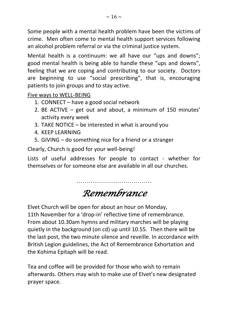Some people with a mental health problem have been the victims of crime. Men often come to mental health support services following an alcohol problem referral or via the criminal justice system.

Mental health is a continuum: we all have our "ups and downs"; good mental health is being able to handle these "ups and downs", feeling that we are coping and contributing to our society. Doctors are beginning to use "social prescribing", that is, encouraging patients to join groups and to stay active.

Five ways to WELL-BEING

- 1. CONNECT have a good social network
- 2. BE ACTIVE get out and about, a minimum of 150 minutes' activity every week
- 3. TAKE NOTICE be interested in what is around you
- 4. KEEP LEARNING
- 5. GIVING do something nice for a friend or a stranger

Clearly, Church is good for your well-being!

Lists of useful addresses for people to contact - whether for themselves or for someone else are available in all our churches.

> ………………………………. *Remembrance*

Elvet Church will be open for about an hour on Monday, 11th November for a 'drop-in' reflective time of remembrance. From about 10.30am hymns and military marches will be playing quietly in the background (on cd) up until 10.55. Then there will be the last post, the two minute silence and reveille. In accordance with British Legion guidelines, the Act of Remembrance Exhortation and the Kohima Epitaph will be read.

Tea and coffee will be provided for those who wish to remain afterwards. Others may wish to make use of Elvet's new designated prayer space.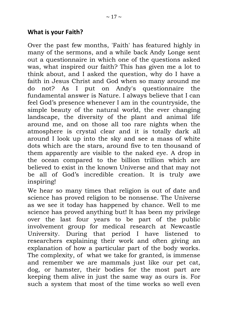#### **What is your Faith?**

Over the past few months, 'Faith' has featured highly in many of the sermons, and a while back Andy Longe sent out a questionnaire in which one of the questions asked was, what inspired our faith? This has given me a lot to think about, and I asked the question, why do I have a faith in Jesus Christ and God when so many around me do not? As I put on Andy's questionnaire the fundamental answer is Nature. I always believe that I can feel God's presence whenever I am in the countryside, the simple beauty of the natural world, the ever changing landscape, the diversity of the plant and animal life around me, and on those all too rare nights when the atmosphere is crystal clear and it is totally dark all around I look up into the sky and see a mass of white dots which are the stars, around five to ten thousand of them apparently are visible to the naked eye. A drop in the ocean compared to the billion trillion which are believed to exist in the known Universe and that may not be all of God's incredible creation. It is truly awe inspiring!

We hear so many times that religion is out of date and science has proved religion to be nonsense. The Universe as we see it today has happened by chance. Well to me science has proved anything but! It has been my privilege over the last four years to be part of the public involvement group for medical research at Newcastle University. During that period I have listened to researchers explaining their work and often giving an explanation of how a particular part of the body works. The complexity, of what we take for granted, is immense and remember we are mammals just like our pet cat, dog, or hamster, their bodies for the most part are keeping them alive in just the same way as ours is. For such a system that most of the time works so well even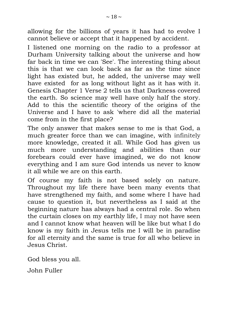allowing for the billions of years it has had to evolve I cannot believe or accept that it happened by accident.

I listened one morning on the radio to a professor at Durham University talking about the universe and how far back in time we can 'See'. The interesting thing about this is that we can look back as far as the time since light has existed but, he added, the universe may well have existed for as long without light as it has with it. Genesis Chapter 1 Verse 2 tells us that Darkness covered the earth. So science may well have only half the story. Add to this the scientific theory of the origins of the Universe and I have to ask 'where did all the material come from in the first place?

The only answer that makes sense to me is that God, a much greater force than we can imagine, with infinitely more knowledge, created it all. While God has given us much more understanding and abilities than our forebears could ever have imagined, we do not know everything and I am sure God intends us never to know it all while we are on this earth.

Of course my faith is not based solely on nature. Throughout my life there have been many events that have strengthened my faith, and some where I have had cause to question it, but nevertheless as I said at the beginning nature has always had a central role. So when the curtain closes on my earthly life, I may not have seen and I cannot know what heaven will be like but what I do know is my faith in Jesus tells me I will be in paradise for all eternity and the same is true for all who believe in Jesus Christ.

God bless you all.

John Fuller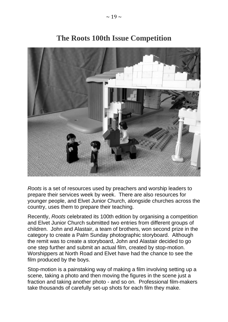

### **The Roots 100th Issue Competition**

*Roots* is a set of resources used by preachers and worship leaders to prepare their services week by week. There are also resources for younger people, and Elvet Junior Church, alongside churches across the country, uses them to prepare their teaching.

Recently, *Roots* celebrated its 100th edition by organising a competition and Elvet Junior Church submitted two entries from different groups of children. John and Alastair, a team of brothers, won second prize in the category to create a Palm Sunday photographic storyboard. Although the remit was to create a storyboard, John and Alastair decided to go one step further and submit an actual film, created by stop-motion. Worshippers at North Road and Elvet have had the chance to see the film produced by the boys.

Stop-motion is a painstaking way of making a film involving setting up a scene, taking a photo and then moving the figures in the scene just a fraction and taking another photo - and so on. Professional film-makers take thousands of carefully set-up shots for each film they make.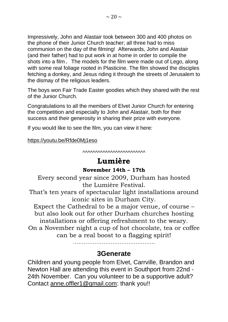Impressively, John and Alastair took between 300 and 400 photos on the phone of their Junior Church teacher; all three had to miss communion on the day of the filming! Afterwards, John and Alastair (and their father) had to put work in at home in order to compile the shots into a film. The models for the film were made out of Lego, along with some real foliage rooted in Plasticine. The film showed the disciples fetching a donkey, and Jesus riding it through the streets of Jerusalem to the dismay of the religious leaders.

The boys won Fair Trade Easter goodies which they shared with the rest of the Junior Church.

Congratulations to all the members of Elvet Junior Church for entering the competition and especially to John and Alastair, both for their success and their generosity in sharing their prize with everyone.

If you would like to see the film, you can view it here:

#### <https://youtu.be/Rfde0Mj1eso>

^^^^^^^^^^^^^^^^^^^^^^^^^

#### **Lumière**

#### **November 14th – 17th**

Every second year since 2009, Durham has hosted the Lumière Festival.

That's ten years of spectacular light installations around iconic sites in Durham City.

Expect the Cathedral to be a major venue, of course – but also look out for other Durham churches hosting installations or offering refreshment to the weary. On a November night a cup of hot chocolate, tea or coffee can be a real boost to a flagging spirit!

……………………………………….

#### **3Generate**

Children and young people from Elvet, Carrville, Brandon and Newton Hall are attending this event in Southport from 22nd - 24th November. Can you volunteer to be a supportive adult? Contact [anne.offler1@gmail.com:](mailto:anne.offler1@gmail.com) thank you!!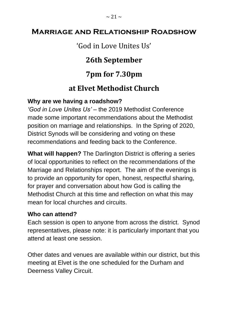### **Marriage and Relationship Roadshow**

### 'God in Love Unites Us'

## **26th September**

## **7pm for 7.30pm**

### **at Elvet Methodist Church**

#### **Why are we having a roadshow?**

*'God in Love Unites Us' –* the 2019 Methodist Conference made some important recommendations about the Methodist position on marriage and relationships. In the Spring of 2020, District Synods will be considering and voting on these recommendations and feeding back to the Conference.

**What will happen?** The Darlington District is offering a series of local opportunities to reflect on the recommendations of the Marriage and Relationships report. The aim of the evenings is to provide an opportunity for open, honest, respectful sharing, for prayer and conversation about how God is calling the Methodist Church at this time and reflection on what this may mean for local churches and circuits.

#### **Who can attend?**

Each session is open to anyone from across the district. Synod representatives, please note: it is particularly important that you attend at least one session.

Other dates and venues are available within our district, but this meeting at Elvet is the one scheduled for the Durham and Deerness Valley Circuit.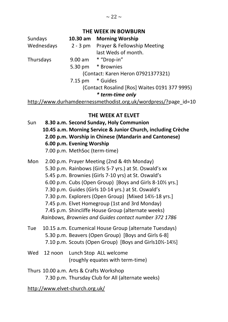#### **THE WEEK IN BOWBURN**

| Sundays    | 10.30 am          | <b>Morning Worship</b>                                          |
|------------|-------------------|-----------------------------------------------------------------|
| Wednesdays | $2 - 3 pm$        | <b>Prayer &amp; Fellowship Meeting</b>                          |
|            |                   | last Weds of month.                                             |
| Thursdays  |                   | 9.00 am * "Drop-in"                                             |
|            |                   | 5.30 pm * Brownies                                              |
|            |                   | (Contact: Karen Heron 07921377321)                              |
|            | $7.15 \text{ pm}$ | * Guides                                                        |
|            |                   | (Contact Rosalind [Ros] Waites 0191 377 9995)                   |
|            |                   | * term-time only                                                |
|            |                   | http://www.durhamdeernessmethodist.org.uk/wordpress/?page id=10 |

#### **THE WEEK AT ELVET**

- Sun **8.30 a.m. Second Sunday, Holy Communion 10.45 a.m. Morning Service & Junior Church, including Crèche 2.00 p.m. Worship in Chinese (Mandarin and Cantonese) 6.00 p.m. Evening Worship**  7.00 p.m. MethSoc (term-time)
- Mon 2.00 p.m. Prayer Meeting (2nd & 4th Monday) 5.30 p.m. Rainbows (Girls 5-7 yrs.) at St. Oswald's xx 5.45 p.m. Brownies (Girls 7-10 yrs) at St. Oswald's 6.00 p.m. Cubs (Open Group) [Boys and Girls 8-10½ yrs.] 7.30 p.m. Guides (Girls 10-14 yrs.) at St. Oswald's 7.30 p.m. Explorers (Open Group) [Mixed 14½-18 yrs.] 7.45 p.m. Elvet Homegroup (1st and 3rd Monday) 7.45 p.m. Shincliffe House Group (alternate weeks) *Rainbows, Brownies and Guides contact number 372 1786*
- Tue 10.15 a.m. Ecumenical House Group (alternate Tuesdays) 5.30 p.m. Beavers (Open Group) [Boys and Girls 6-8] 7.10 p.m. Scouts (Open Group) [Boys and Girls10½-14½]
- Wed 12 noon Lunch Stop ALL welcome (roughly equates with term-time)
- Thurs 10.00 a.m. Arts & Crafts Workshop 7.30 p.m. Thursday Club for All (alternate weeks)

http://www.elvet-church.org.uk/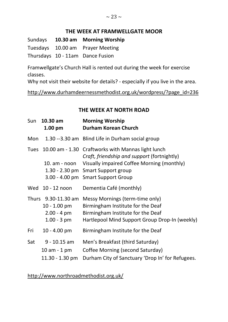#### **THE WEEK AT FRAMWELLGATE MOOR**

Sundays **10.30 am Morning Worship** Tuesdays 10.00 am Prayer Meeting Thursdays 10 - 11am Dance Fusion

Framwellgate's Church Hall is rented out during the week for exercise classes.

Why not visit their website for details? - especially if you live in the area.

http://www.durhamdeernessmethodist.org.uk/wordpress/?page\_id=236

#### **THE WEEK AT NORTH ROAD**

| Sun  | 10.30 am<br>1.00 pm                                                             | <b>Morning Worship</b><br>Durham Korean Church                                                                                                                                                                              |
|------|---------------------------------------------------------------------------------|-----------------------------------------------------------------------------------------------------------------------------------------------------------------------------------------------------------------------------|
| Mon  |                                                                                 | 1.30 --3.30 am Blind Life in Durham social group                                                                                                                                                                            |
| Tues | $10. am - noon$                                                                 | 10.00 am - 1.30 Craftworks with Mannas light lunch<br>Craft, friendship and support (fortnightly)<br>Visually impaired Coffee Morning (monthly)<br>1.30 - 2.30 pm Smart Support group<br>3.00 - 4.00 pm Smart Support Group |
|      | Wed 10 - 12 noon                                                                | Dementia Café (monthly)                                                                                                                                                                                                     |
|      | Thurs 9.30-11.30 am<br>10 - 1.00 pm<br>$2.00 - 4 \, \text{pm}$<br>$1.00 - 3$ pm | Messy Mornings (term-time only)<br>Birmingham Institute for the Deaf<br>Birmingham Institute for the Deaf<br>Hartlepool Mind Support Group Drop-In (weekly)                                                                 |
| Fri  | $10 - 4.00$ pm                                                                  | Birmingham Institute for the Deaf                                                                                                                                                                                           |
| Sat  | $9 - 10.15$ am<br>$10$ am $-1$ pm<br>$11.30 - 1.30$ pm                          | Men's Breakfast (third Saturday)<br>Coffee Morning (second Saturday)<br>Durham City of Sanctuary 'Drop In' for Refugees.                                                                                                    |

http://www.northroadmethodist.org.uk/